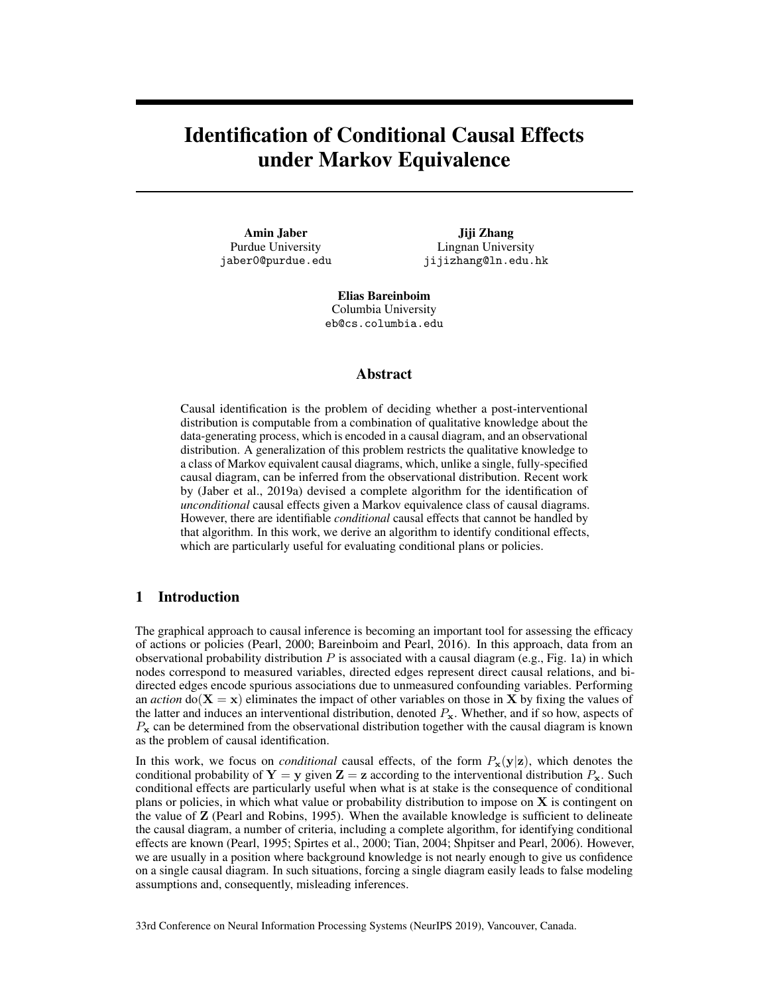# Identification of Conditional Causal Effects under Markov Equivalence

Amin Jaber Purdue University jaber0@purdue.edu

Jiji Zhang Lingnan University jijizhang@ln.edu.hk

Elias Bareinboim Columbia University eb@cs.columbia.edu

## Abstract

Causal identification is the problem of deciding whether a post-interventional distribution is computable from a combination of qualitative knowledge about the data-generating process, which is encoded in a causal diagram, and an observational distribution. A generalization of this problem restricts the qualitative knowledge to a class of Markov equivalent causal diagrams, which, unlike a single, fully-specified causal diagram, can be inferred from the observational distribution. Recent work by (Jaber et al., 2019a) devised a complete algorithm for the identification of *unconditional* causal effects given a Markov equivalence class of causal diagrams. However, there are identifiable *conditional* causal effects that cannot be handled by that algorithm. In this work, we derive an algorithm to identify conditional effects, which are particularly useful for evaluating conditional plans or policies.

# 1 Introduction

The graphical approach to causal inference is becoming an important tool for assessing the efficacy of actions or policies (Pearl, 2000; Bareinboim and Pearl, 2016). In this approach, data from an observational probability distribution  $P$  is associated with a causal diagram (e.g., Fig. 1a) in which nodes correspond to measured variables, directed edges represent direct causal relations, and bidirected edges encode spurious associations due to unmeasured confounding variables. Performing an *action* do( $X = x$ ) eliminates the impact of other variables on those in X by fixing the values of the latter and induces an interventional distribution, denoted  $P_x$ . Whether, and if so how, aspects of  $P_{\rm x}$  can be determined from the observational distribution together with the causal diagram is known as the problem of causal identification.

In this work, we focus on *conditional* causal effects, of the form  $P_x(y|z)$ , which denotes the conditional probability of  $Y = y$  given  $Z = z$  according to the interventional distribution  $P_x$ . Such conditional effects are particularly useful when what is at stake is the consequence of conditional plans or policies, in which what value or probability distribution to impose on  $X$  is contingent on the value of Z (Pearl and Robins, 1995). When the available knowledge is sufficient to delineate the causal diagram, a number of criteria, including a complete algorithm, for identifying conditional effects are known (Pearl, 1995; Spirtes et al., 2000; Tian, 2004; Shpitser and Pearl, 2006). However, we are usually in a position where background knowledge is not nearly enough to give us confidence on a single causal diagram. In such situations, forcing a single diagram easily leads to false modeling assumptions and, consequently, misleading inferences.

33rd Conference on Neural Information Processing Systems (NeurIPS 2019), Vancouver, Canada.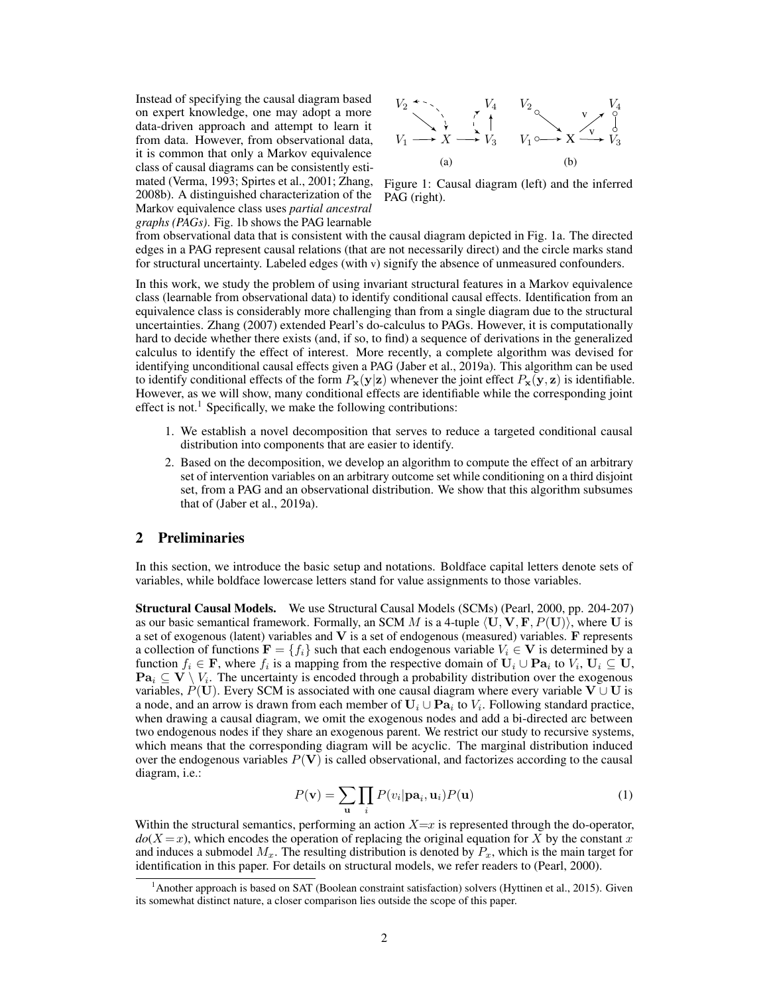Instead of specifying the causal diagram based on expert knowledge, one may adopt a more data-driven approach and attempt to learn it from data. However, from observational data, it is common that only a Markov equivalence class of causal diagrams can be consistently estimated (Verma, 1993; Spirtes et al., 2001; Zhang, 2008b). A distinguished characterization of the Markov equivalence class uses *partial ancestral graphs (PAGs)*. Fig. 1b shows the PAG learnable



Figure 1: Causal diagram (left) and the inferred PAG (right).

from observational data that is consistent with the causal diagram depicted in Fig. 1a. The directed edges in a PAG represent causal relations (that are not necessarily direct) and the circle marks stand for structural uncertainty. Labeled edges (with v) signify the absence of unmeasured confounders.

In this work, we study the problem of using invariant structural features in a Markov equivalence class (learnable from observational data) to identify conditional causal effects. Identification from an equivalence class is considerably more challenging than from a single diagram due to the structural uncertainties. Zhang (2007) extended Pearl's do-calculus to PAGs. However, it is computationally hard to decide whether there exists (and, if so, to find) a sequence of derivations in the generalized calculus to identify the effect of interest. More recently, a complete algorithm was devised for identifying unconditional causal effects given a PAG (Jaber et al., 2019a). This algorithm can be used to identify conditional effects of the form  $P_x(y|z)$  whenever the joint effect  $P_x(y, z)$  is identifiable. However, as we will show, many conditional effects are identifiable while the corresponding joint effect is not.<sup>1</sup> Specifically, we make the following contributions:

- 1. We establish a novel decomposition that serves to reduce a targeted conditional causal distribution into components that are easier to identify.
- 2. Based on the decomposition, we develop an algorithm to compute the effect of an arbitrary set of intervention variables on an arbitrary outcome set while conditioning on a third disjoint set, from a PAG and an observational distribution. We show that this algorithm subsumes that of (Jaber et al., 2019a).

# 2 Preliminaries

In this section, we introduce the basic setup and notations. Boldface capital letters denote sets of variables, while boldface lowercase letters stand for value assignments to those variables.

Structural Causal Models. We use Structural Causal Models (SCMs) (Pearl, 2000, pp. 204-207) as our basic semantical framework. Formally, an SCM M is a 4-tuple  $\langle \mathbf{U}, \mathbf{V}, \mathbf{F}, P(\mathbf{U}) \rangle$ , where U is a set of exogenous (latent) variables and  $V$  is a set of endogenous (measured) variables.  $F$  represents a collection of functions  $\mathbf{F} = \{f_i\}$  such that each endogenous variable  $V_i \in \mathbf{V}$  is determined by a function  $f_i \in \mathbf{F}$ , where  $f_i$  is a mapping from the respective domain of  $\mathbf{U}_i \cup \mathbf{Pa}_i$  to  $V_i$ ,  $\mathbf{U}_i \subseteq \mathbf{U}$ ,  $\textbf{Pa}_i \subseteq \textbf{V} \setminus V_i$ . The uncertainty is encoded through a probability distribution over the exogenous variables,  $P(\mathbf{U})$ . Every SCM is associated with one causal diagram where every variable  $\mathbf{V} \cup \mathbf{U}$  is a node, and an arrow is drawn from each member of  $U_i \cup Pa_i$  to  $V_i$ . Following standard practice, when drawing a causal diagram, we omit the exogenous nodes and add a bi-directed arc between two endogenous nodes if they share an exogenous parent. We restrict our study to recursive systems, which means that the corresponding diagram will be acyclic. The marginal distribution induced over the endogenous variables  $P(V)$  is called observational, and factorizes according to the causal diagram, i.e.:

$$
P(\mathbf{v}) = \sum_{\mathbf{u}} \prod_{i} P(v_i | \mathbf{pa}_i, \mathbf{u}_i) P(\mathbf{u})
$$
 (1)

Within the structural semantics, performing an action  $X=x$  is represented through the do-operator,  $do(X = x)$ , which encodes the operation of replacing the original equation for X by the constant x and induces a submodel  $M_x$ . The resulting distribution is denoted by  $P_x$ , which is the main target for identification in this paper. For details on structural models, we refer readers to (Pearl, 2000).

<sup>&</sup>lt;sup>1</sup>Another approach is based on SAT (Boolean constraint satisfaction) solvers (Hyttinen et al., 2015). Given its somewhat distinct nature, a closer comparison lies outside the scope of this paper.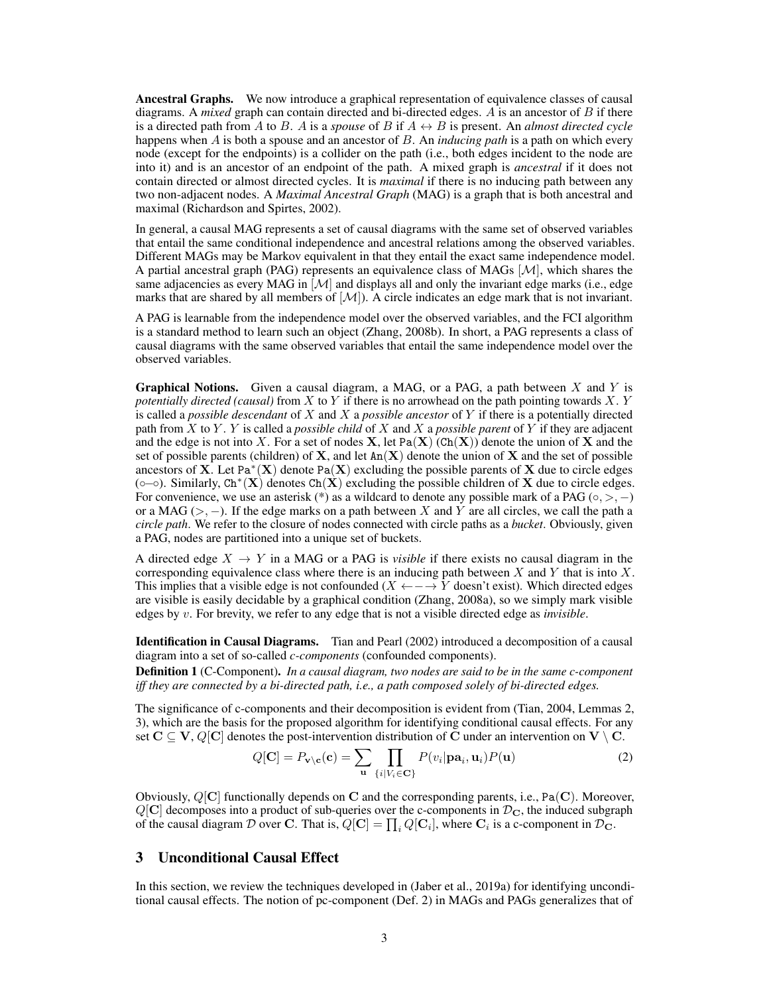Ancestral Graphs. We now introduce a graphical representation of equivalence classes of causal diagrams. A *mixed* graph can contain directed and bi-directed edges. A is an ancestor of B if there is a directed path from A to B. A is a *spouse* of B if  $A \leftrightarrow B$  is present. An *almost directed cycle* happens when A is both a spouse and an ancestor of B. An *inducing path* is a path on which every node (except for the endpoints) is a collider on the path (i.e., both edges incident to the node are into it) and is an ancestor of an endpoint of the path. A mixed graph is *ancestral* if it does not contain directed or almost directed cycles. It is *maximal* if there is no inducing path between any two non-adjacent nodes. A *Maximal Ancestral Graph* (MAG) is a graph that is both ancestral and maximal (Richardson and Spirtes, 2002).

In general, a causal MAG represents a set of causal diagrams with the same set of observed variables that entail the same conditional independence and ancestral relations among the observed variables. Different MAGs may be Markov equivalent in that they entail the exact same independence model. A partial ancestral graph (PAG) represents an equivalence class of MAGs [M], which shares the same adjacencies as every MAG in  $\mathcal{M}$  and displays all and only the invariant edge marks (i.e., edge marks that are shared by all members of  $[M]$ ). A circle indicates an edge mark that is not invariant.

A PAG is learnable from the independence model over the observed variables, and the FCI algorithm is a standard method to learn such an object (Zhang, 2008b). In short, a PAG represents a class of causal diagrams with the same observed variables that entail the same independence model over the observed variables.

**Graphical Notions.** Given a causal diagram, a MAG, or a PAG, a path between  $X$  and  $Y$  is *potentially directed (causal)* from X to Y if there is no arrowhead on the path pointing towards X. Y is called a *possible descendant* of X and X a *possible ancestor* of Y if there is a potentially directed path from X to Y . Y is called a *possible child* of X and X a *possible parent* of Y if they are adjacent and the edge is not into X. For a set of nodes  $X$ , let Pa $(X)$  (Ch $(X)$ ) denote the union of X and the set of possible parents (children) of  $X$ , and let  $An(X)$  denote the union of  $X$  and the set of possible ancestors of X. Let Pa<sup>\*</sup>(X) denote Pa(X) excluding the possible parents of X due to circle edges (o– $\circ$ ). Similarly, Ch<sup>\*</sup>(X) denotes Ch(X) excluding the possible children of X due to circle edges. For convenience, we use an asterisk (\*) as a wildcard to denote any possible mark of a PAG ( $\circ$ ,  $\circ$ ,  $-$ ) or a MAG ( $>$ ,  $-$ ). If the edge marks on a path between X and Y are all circles, we call the path a *circle path*. We refer to the closure of nodes connected with circle paths as a *bucket*. Obviously, given a PAG, nodes are partitioned into a unique set of buckets.

A directed edge  $X \to Y$  in a MAG or a PAG is *visible* if there exists no causal diagram in the corresponding equivalence class where there is an inducing path between  $X$  and  $Y$  that is into  $X$ . This implies that a visible edge is not confounded ( $X \leftarrow \rightarrow Y$  doesn't exist). Which directed edges are visible is easily decidable by a graphical condition (Zhang, 2008a), so we simply mark visible edges by v. For brevity, we refer to any edge that is not a visible directed edge as *invisible*.

Identification in Causal Diagrams. Tian and Pearl (2002) introduced a decomposition of a causal diagram into a set of so-called *c-components* (confounded components).

Definition 1 (C-Component). *In a causal diagram, two nodes are said to be in the same c-component iff they are connected by a bi-directed path, i.e., a path composed solely of bi-directed edges.*

The significance of c-components and their decomposition is evident from (Tian, 2004, Lemmas 2, 3), which are the basis for the proposed algorithm for identifying conditional causal effects. For any set  $C \subseteq V$ ,  $Q[C]$  denotes the post-intervention distribution of C under an intervention on  $V \setminus C$ .

$$
Q[\mathbf{C}] = P_{\mathbf{v} \setminus \mathbf{c}}(\mathbf{c}) = \sum_{\mathbf{u}} \prod_{\{i \mid V_i \in \mathbf{C}\}} P(v_i | \mathbf{pa}_i, \mathbf{u}_i) P(\mathbf{u}) \tag{2}
$$

Obviously,  $Q[C]$  functionally depends on C and the corresponding parents, i.e., Pa $(C)$ . Moreover,  $Q[\mathbf{C}]$  decomposes into a product of sub-queries over the c-components in  $\mathcal{D}_{\mathbf{C}}$ , the induced subgraph of the causal diagram  $D$  over C. That is,  $Q[\mathbf{C}] = \prod_i Q[\mathbf{C}_i]$ , where  $\mathbf{C}_i$  is a c-component in  $\mathcal{D}_{\mathbf{C}}$ .

## 3 Unconditional Causal Effect

In this section, we review the techniques developed in (Jaber et al., 2019a) for identifying unconditional causal effects. The notion of pc-component (Def. 2) in MAGs and PAGs generalizes that of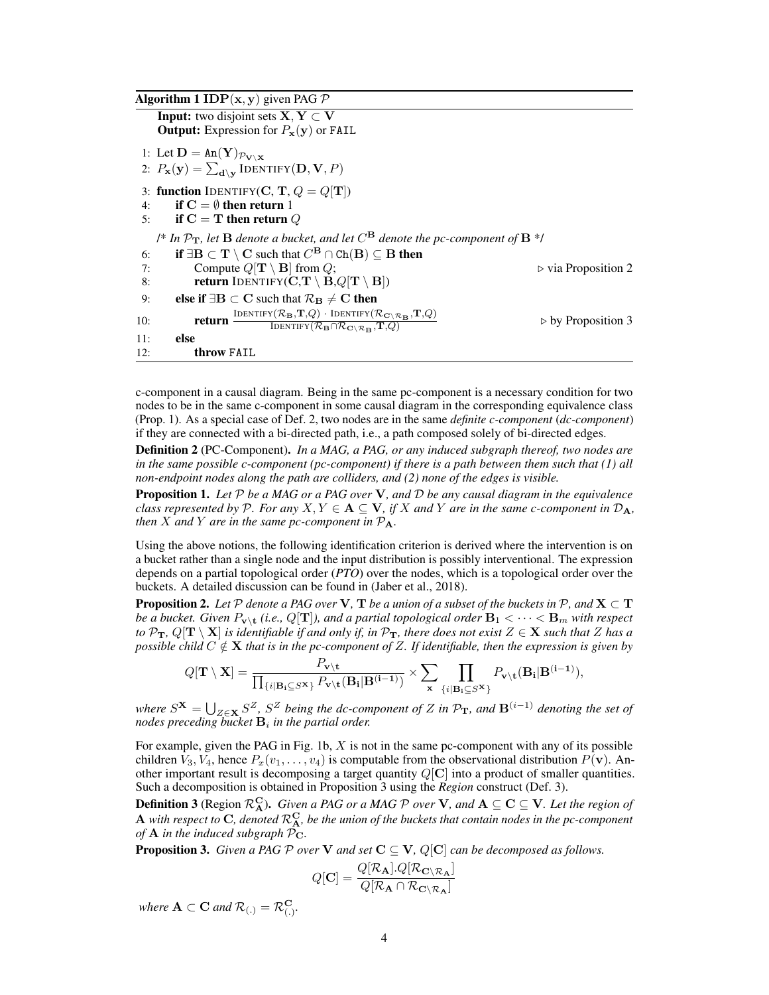| <b>Algorithm 1 IDP</b> ( $\mathbf{x}, \mathbf{y}$ ) given PAG P |                                                                                                                                                                                                                                                                                                          |                                    |
|-----------------------------------------------------------------|----------------------------------------------------------------------------------------------------------------------------------------------------------------------------------------------------------------------------------------------------------------------------------------------------------|------------------------------------|
|                                                                 | <b>Input:</b> two disjoint sets $X, Y \subset V$<br><b>Output:</b> Expression for $P_{\mathbf{x}}(\mathbf{y})$ or FAIL                                                                                                                                                                                   |                                    |
|                                                                 | 1: Let $\mathbf{D} = \text{An}(\mathbf{Y})_{\mathcal{P}_{\mathbf{V} \setminus \mathbf{X}}}$<br>2: $P_{\mathbf{x}}(\mathbf{y}) = \sum_{\mathbf{d}\setminus\mathbf{v}} \text{IDENTIFY}(\mathbf{D}, \mathbf{V}, P)$                                                                                         |                                    |
| 4:                                                              | 3: function IDENTIFY(C, T, $Q = Q[T]$ )<br>if $C = \emptyset$ then return 1<br>5: if $C = T$ then return Q                                                                                                                                                                                               |                                    |
|                                                                 | /* In $\mathcal{P}_{\mathbf{T}}$ , let <b>B</b> denote a bucket, and let $C^{\mathbf{B}}$ denote the pc-component of <b>B</b> */                                                                                                                                                                         |                                    |
| 6:<br>7:<br>8:                                                  | if $\exists B \subset T \setminus C$ such that $C^B \cap Ch(B) \subseteq B$ then<br>Compute $Q[\mathbf{T} \setminus \mathbf{B}]$ from $Q$ ;<br><b>return</b> IDENTIFY( $C,T \setminus B,Q[T \setminus B])$                                                                                               | $\triangleright$ via Proposition 2 |
| 9:                                                              | else if $\exists B \subset C$ such that $\mathcal{R}_{B} \neq C$ then                                                                                                                                                                                                                                    |                                    |
| 10:                                                             | $\frac{\text{IDENTIFY}(\mathcal{R}_{\mathbf{B}}, \mathbf{T}, Q) \cdot \text{IDENTIFY}(\mathcal{R}_{\mathbf{C} \setminus \mathcal{R}_{\mathbf{B}}}, \mathbf{T}, Q)}{\text{IDENTIFY}(\mathcal{R}_{\mathbf{B}} \cap \mathcal{R}_{\mathbf{C} \setminus \mathcal{R}_{\mathbf{B}}}, \mathbf{T}, Q)}$<br>return | $\triangleright$ by Proposition 3  |
| 11:                                                             | else                                                                                                                                                                                                                                                                                                     |                                    |
| 12:                                                             | throw FAIL                                                                                                                                                                                                                                                                                               |                                    |

c-component in a causal diagram. Being in the same pc-component is a necessary condition for two nodes to be in the same c-component in some causal diagram in the corresponding equivalence class (Prop. 1). As a special case of Def. 2, two nodes are in the same *definite c-component* (*dc-component*) if they are connected with a bi-directed path, i.e., a path composed solely of bi-directed edges.

Definition 2 (PC-Component). *In a MAG, a PAG, or any induced subgraph thereof, two nodes are in the same possible c-component (pc-component) if there is a path between them such that (1) all non-endpoint nodes along the path are colliders, and (2) none of the edges is visible.*

Proposition 1. *Let* P *be a MAG or a PAG over* V*, and* D *be any causal diagram in the equivalence class represented by* P. For any  $X, Y \in \mathbf{A} \subseteq \mathbf{V}$ , if X and Y are in the same c-component in  $\mathcal{D}_{\mathbf{A}}$ , *then*  $X$  *and*  $Y$  *are in the same pc-component in*  $P_A$ *.* 

Using the above notions, the following identification criterion is derived where the intervention is on a bucket rather than a single node and the input distribution is possibly interventional. The expression depends on a partial topological order (*PTO*) over the nodes, which is a topological order over the buckets. A detailed discussion can be found in (Jaber et al., 2018).

**Proposition 2.** Let  $P$  denote a PAG over **V**, **T** be a union of a subset of the buckets in  $P$ , and  $X \subset T$ be a bucket. Given  $P_{\textbf{v}\setminus \textbf{t}}$  (i.e., Q[**T**]), and a partial topological order  $\textbf{B}_1<\cdots<\textbf{B}_m$  with respect *to*  $\mathcal{P}_T$ ,  $Q[T \setminus X]$  *is identifiable if and only if, in*  $\mathcal{P}_T$ *, there does not exist*  $Z \in X$  *such that* Z *has a possible child*  $C \notin \mathbf{X}$  *that is in the pc-component of Z. If identifiable, then the expression is given by* 

$$
Q[\mathbf{T} \setminus \mathbf{X}] = \frac{P_{\mathbf{v} \setminus \mathbf{t}}}{\prod_{\{i \mid \mathbf{B}_i \subseteq S^{\mathbf{X}}\}} P_{\mathbf{v} \setminus \mathbf{t}}(\mathbf{B}_i | \mathbf{B}^{(i-1)})} \times \sum_{\mathbf{x}} \prod_{\{i \mid \mathbf{B}_i \subseteq S^{\mathbf{X}}\}} P_{\mathbf{v} \setminus \mathbf{t}}(\mathbf{B}_i | \mathbf{B}^{(i-1)}),
$$

*where*  $S^{\mathbf{X}} = \bigcup_{Z \in \mathbf{X}} S^Z$ ,  $S^Z$  *being the dc-component of* Z *in*  $\mathcal{P}_{\mathbf{T}}$ *, and*  $\mathbf{B}^{(i-1)}$  *denoting the set of*  $\emph{nodes preceding bucket}$   $\emph{B}_i$  in the partial order.

For example, given the PAG in Fig. 1b,  $X$  is not in the same pc-component with any of its possible children  $V_3, V_4$ , hence  $P_x(v_1, \ldots, v_4)$  is computable from the observational distribution  $P(\mathbf{v})$ . Another important result is decomposing a target quantity  $Q[\mathbf{C}]$  into a product of smaller quantities. Such a decomposition is obtained in Proposition 3 using the *Region* construct (Def. 3).

**Definition 3** (Region  $\mathcal{R}_{\bf A}^{\bf C}$ ). *Given a PAG or a MAG*  $\mathcal P$  *over*  ${\bf V}$ *, and*  ${\bf A}\subseteq{\bf C}\subseteq{\bf V}$ *. Let the region of* **A** with respect to C, denoted  $\mathcal{R}_{A}^C$ , be the union of the buckets that contain nodes in the pc-component *of*  $A$  *in the induced subgraph*  $P_{C}$ *.* 

**Proposition 3.** *Given a PAG*  $P$  *over*  $V$  *and set*  $C \subseteq V$ *,*  $Q[C]$  *can be decomposed as follows.* 

$$
Q[\mathbf{C}] = \frac{Q[\mathcal{R}_{\mathbf{A}}].Q[\mathcal{R}_{\mathbf{C}\setminus\mathcal{R}_{\mathbf{A}}}]}{Q[\mathcal{R}_{\mathbf{A}}\cap\mathcal{R}_{\mathbf{C}\setminus\mathcal{R}_{\mathbf{A}}}]}
$$

*where*  $\mathbf{A} \subset \mathbf{C}$  and  $\mathcal{R}_{(.)} = \mathcal{R}_{(.)}^{\mathbf{C}}$ .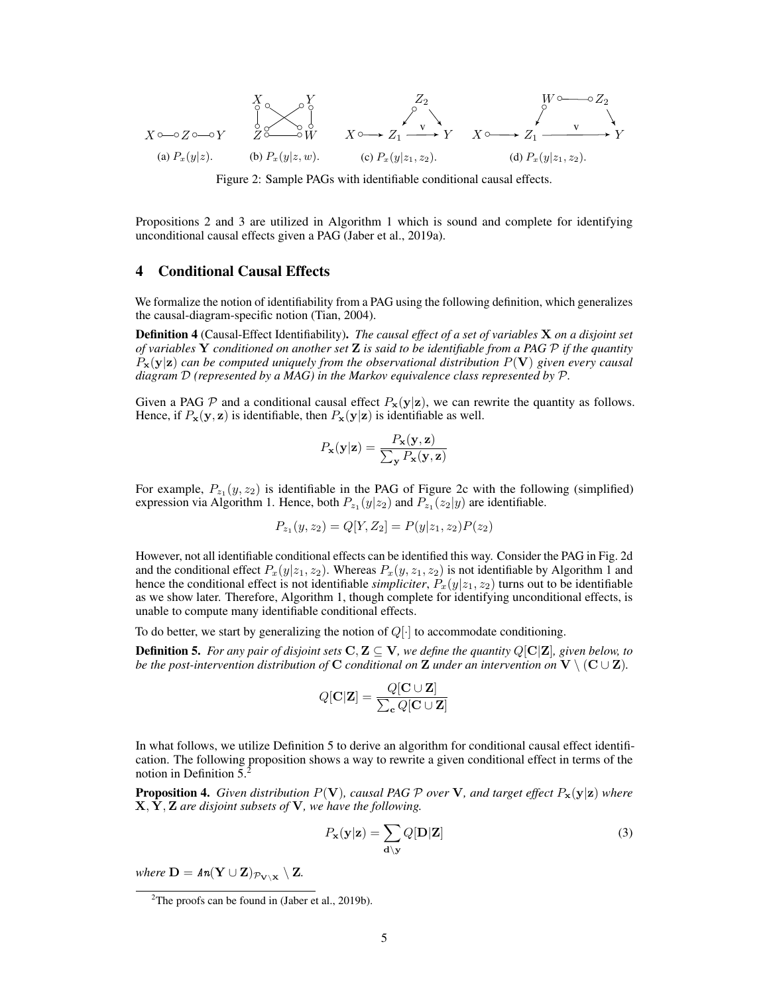$$
X \circ \longrightarrow Z \circ \longrightarrow Y
$$
\n
$$
\begin{array}{ccc}\nX & \circ & Z_2 \\
\circ & \circ & \circ \\
Z & \circ & \circ \\
\circ & Z & \circ \\
\circ & \circ & \circ \\
\circ & \circ & \circ \\
\circ & \circ & \circ \\
\circ & \circ & \circ \\
\circ & \circ & \circ \\
\circ & \circ & \circ & \circ \\
\circ & \circ & \circ & \circ \\
\circ & \circ & \circ & \circ \\
\circ & \circ & \circ & \circ \\
\circ & \circ & \circ & \circ \\
\circ & \circ & \circ & \circ \\
\circ & \circ & \circ & \circ & \circ \\
\circ & \circ & \circ & \circ & \circ \\
\circ & \circ & \circ & \circ & \circ \\
\circ & \circ & \circ & \circ & \circ \\
\circ & \circ & \circ & \circ & \circ \\
\circ & \circ & \circ & \circ & \circ \\
\circ & \circ & \circ & \circ & \circ & \circ \\
\circ & \circ & \circ & \circ & \circ & \circ \\
\circ & \circ & \circ & \circ & \circ & \circ \\
\circ & \circ & \circ & \circ & \circ & \circ \\
\circ & \circ & \circ & \circ & \circ & \circ \\
\circ & \circ & \circ & \circ & \circ & \circ \\
\circ & \circ & \circ & \circ & \circ & \circ \\
\circ & \circ & \circ & \circ & \circ & \circ \\
\circ & \circ & \circ & \circ & \circ & \circ \\
\circ & \circ & \circ & \circ & \circ & \circ \\
\circ & \circ & \circ & \circ & \circ & \circ \\
\circ & \circ & \circ & \circ & \circ & \circ \\
\circ & \circ & \circ & \circ & \circ & \circ \\
\circ & \
$$

Figure 2: Sample PAGs with identifiable conditional causal effects.

Propositions 2 and 3 are utilized in Algorithm 1 which is sound and complete for identifying unconditional causal effects given a PAG (Jaber et al., 2019a).

# 4 Conditional Causal Effects

We formalize the notion of identifiability from a PAG using the following definition, which generalizes the causal-diagram-specific notion (Tian, 2004).

Definition 4 (Causal-Effect Identifiability). *The causal effect of a set of variables* X *on a disjoint set of variables* Y *conditioned on another set* Z *is said to be identifiable from a PAG* P *if the quantity*  $P_{\mathbf{x}}(\mathbf{y}|\mathbf{z})$  *can be computed uniquely from the observational distribution*  $P(\mathbf{V})$  *given every causal diagram* D *(represented by a MAG) in the Markov equivalence class represented by* P*.*

Given a PAG  $P$  and a conditional causal effect  $P_x(y|z)$ , we can rewrite the quantity as follows. Hence, if  $P_x(y, z)$  is identifiable, then  $P_x(y|z)$  is identifiable as well.

$$
P_{\mathbf{x}}(\mathbf{y}|\mathbf{z}) = \frac{P_{\mathbf{x}}(\mathbf{y}, \mathbf{z})}{\sum_{\mathbf{y}} P_{\mathbf{x}}(\mathbf{y}, \mathbf{z})}
$$

For example,  $P_{z_1}(y, z_2)$  is identifiable in the PAG of Figure 2c with the following (simplified) expression via Algorithm 1. Hence, both  $P_{z_1}(y|z_2)$  and  $P_{z_1}(z_2|y)$  are identifiable.

$$
P_{z_1}(y, z_2) = Q[Y, Z_2] = P(y|z_1, z_2)P(z_2)
$$

However, not all identifiable conditional effects can be identified this way. Consider the PAG in Fig. 2d and the conditional effect  $P_x(y|z_1, z_2)$ . Whereas  $P_x(y, z_1, z_2)$  is not identifiable by Algorithm 1 and hence the conditional effect is not identifiable *simpliciter*,  $P_x(y|z_1, z_2)$  turns out to be identifiable as we show later. Therefore, Algorithm 1, though complete for identifying unconditional effects, is unable to compute many identifiable conditional effects.

To do better, we start by generalizing the notion of  $Q[\cdot]$  to accommodate conditioning.

**Definition 5.** For any pair of disjoint sets  $C, Z \subseteq V$ , we define the quantity  $Q[C|Z]$ , given below, to *be the post-intervention distribution of* C *conditional on* Z *under an intervention on*  $V \setminus (C \cup Z)$ *.* 

$$
Q[\mathbf{C}|\mathbf{Z}] = \frac{Q[\mathbf{C} \cup \mathbf{Z}]}{\sum_{\mathbf{c}} Q[\mathbf{C} \cup \mathbf{Z}]}
$$

In what follows, we utilize Definition 5 to derive an algorithm for conditional causal effect identification. The following proposition shows a way to rewrite a given conditional effect in terms of the notion in Definition 5.<sup>2</sup>

**Proposition 4.** *Given distribution*  $P(\mathbf{V})$ *, causal PAG*  $P$  *over*  $\mathbf{V}$ *, and target effect*  $P_{\mathbf{x}}(\mathbf{y}|\mathbf{z})$  *where* X, Y, Z *are disjoint subsets of* V*, we have the following.*

$$
P_{\mathbf{x}}(\mathbf{y}|\mathbf{z}) = \sum_{\mathbf{d}\backslash\mathbf{y}} Q[\mathbf{D}|\mathbf{Z}] \tag{3}
$$

*where*  $\mathbf{D} = \textit{An}(\mathbf{Y} \cup \mathbf{Z})_{\mathcal{P}_{\mathbf{V} \setminus \mathbf{X}}} \setminus \mathbf{Z}$ .

<sup>&</sup>lt;sup>2</sup>The proofs can be found in (Jaber et al., 2019b).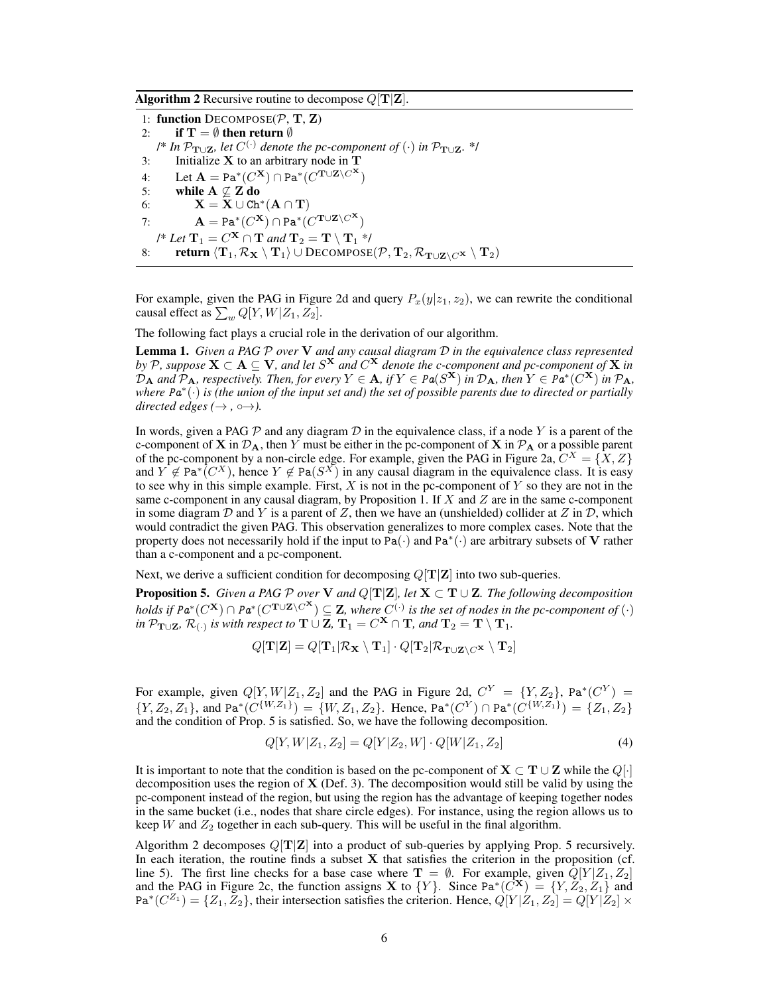**Algorithm 2** Recursive routine to decompose  $Q[T|Z]$ .

1: function  $DECOMPOSE(\mathcal{P}, \mathbf{T}, \mathbf{Z})$ 2: if  $\mathbf{T} = \emptyset$  then return  $\emptyset$  $\mathcal{P}$ <sup>\*</sup> In  $\mathcal{P}_{\textbf{T}\cup \textbf{Z}}$ *, let*  $C^{(\cdot)}$  denote the pc-component of  $(\cdot)$  in  $\mathcal{P}_{\textbf{T}\cup \textbf{Z}}$ *.* \*/ 3: Initialize  $X$  to an arbitrary node in  $T$ 4: Let  $\mathbf{A} = \text{Pa}^*(C^{\mathbf{X}}) \cap \text{Pa}^*(C^{\mathbf{T} \cup \mathbf{Z} \setminus C^{\mathbf{X}}})$ 5: while  $A \nsubseteq Z$  do  $\textbf{X} = \textbf{X} \cup \texttt{Ch}^{*}(\textbf{A} \cap \textbf{T})$ 7:  $\mathbf{A} = \text{Pa}^*(C^{\mathbf{X}}) \cap \text{Pa}^*(C^{\mathbf{T} \cup \mathbf{Z} \setminus C^{\mathbf{X}}})$ /\* Let  $\mathbf{T}_1 = C^\mathbf{X} \cap \mathbf{T}$  and  $\mathbf{T}_2 = \mathbf{T} \setminus \mathbf{T}_1$  \*/ 8: return  $\langle \mathbf T_1, \mathcal R_{\mathbf X} \setminus \mathbf T_1\rangle \cup \mathrm{Decompose}(\mathcal P, \mathbf T_2, \mathcal R_{\mathbf T \cup \mathbf Z\setminus C^{\mathbf X}} \setminus \mathbf T_2)$ 

For example, given the PAG in Figure 2d and query  $P_x(y|z_1, z_2)$ , we can rewrite the conditional causal effect as  $\sum_w Q[Y,W|Z_1,Z_2].$ 

The following fact plays a crucial role in the derivation of our algorithm.

Lemma 1. *Given a PAG* P *over* V *and any causal diagram* D *in the equivalence class represented by* P, suppose  $X \subset A \subseteq V$ , and let  $S^X$  and  $C^X$  denote the c-component and pc-component of  $X$  in  $\mathcal{D}_A$  and  $\mathcal{P}_A$ *, respectively. Then, for every*  $Y \in A$ *, if*  $Y \in Pa(S^X)$  *in*  $\mathcal{D}_A$ *, then*  $Y \in Pa^*(C^X)$  *in*  $\mathcal{P}_A$ *, where* Pa<sup>∗</sup> (·) *is (the union of the input set and) the set of possible parents due to directed or partially directed edges* ( $\rightarrow$ ,  $\circ \rightarrow$ ).

In words, given a PAG  $\mathcal P$  and any diagram  $\mathcal D$  in the equivalence class, if a node Y is a parent of the c-component of **X** in  $\mathcal{D}_A$ , then Y must be either in the pc-component of **X** in  $\mathcal{P}_A$  or a possible parent of the pc-component by a non-circle edge. For example, given the PAG in Figure 2a,  $C^X = \{X, Z\}$ and  $Y \notin \text{Pa}^*(C^X)$ , hence  $Y \notin \text{Pa}(S^X)$  in any causal diagram in the equivalence class. It is easy to see why in this simple example. First,  $X$  is not in the pc-component of  $Y$  so they are not in the same c-component in any causal diagram, by Proposition 1. If  $X$  and  $Z$  are in the same c-component in some diagram D and Y is a parent of Z, then we have an (unshielded) collider at Z in D, which would contradict the given PAG. This observation generalizes to more complex cases. Note that the property does not necessarily hold if the input to  $\overline{Pa}(\cdot)$  and  $\overline{Pa}^*(\cdot)$  are arbitrary subsets of V rather than a c-component and a pc-component.

Next, we derive a sufficient condition for decomposing  $Q[T|Z]$  into two sub-queries.

**Proposition 5.** *Given a PAG*  $P$  *over*  $V$  *and*  $Q[T|Z]$ *, let*  $X \subset T \cup Z$ *. The following decomposition holds if*  $Pa^*(C^{\mathbf{X}}) \cap Pa^*(C^{\mathbf{T} \cup \mathbf{Z} \setminus C^{\mathbf{X}}})$  ⊆ **Z**, where  $C^{(\cdot)}$  is the set of nodes in the pc-component of  $(\cdot)$  $i$ n P $_{\bf{T}\cup \bf{Z}}$ ,  $\mathcal{R}_{(\cdot)}$  is with respect to  $\bf{T} \cup \bf{Z}$ ,  $\bf{T}_{1} = C^{\bf{X}} \cap \bf{T}$ , and  $\bf{T}_{2} = \bf{T} \setminus \bf{T}_{1}$ .

$$
Q[\mathbf{T}|\mathbf{Z}] = Q[\mathbf{T}_1|\mathcal{R}_\mathbf{X}\setminus \mathbf{T}_1] \cdot Q[\mathbf{T}_2|\mathcal{R}_{\mathbf{T}\cup \mathbf{Z}\setminus C^\mathbf{X}}\setminus \mathbf{T}_2]
$$

For example, given  $Q[Y, W|Z_1, Z_2]$  and the PAG in Figure 2d,  $C^Y = \{Y, Z_2\}$ , Pa $^*(C^Y) =$  $\{Y, Z_2, Z_1\}$ , and Pa<sup>\*</sup> $(C^{\{W, Z_1\}}) = \{W, Z_1, Z_2\}$ . Hence, Pa<sup>\*</sup> $(C^Y) \cap$  Pa<sup>\*</sup> $(C^{\{W, Z_1\}}) = \{Z_1, Z_2\}$ and the condition of Prop. 5 is satisfied. So, we have the following decomposition.

$$
Q[Y, W|Z_1, Z_2] = Q[Y|Z_2, W] \cdot Q[W|Z_1, Z_2]
$$
\n(4)

It is important to note that the condition is based on the pc-component of  $X \subset T \cup Z$  while the  $Q[\cdot]$ decomposition uses the region of  $X$  (Def. 3). The decomposition would still be valid by using the pc-component instead of the region, but using the region has the advantage of keeping together nodes in the same bucket (i.e., nodes that share circle edges). For instance, using the region allows us to keep W and  $Z_2$  together in each sub-query. This will be useful in the final algorithm.

Algorithm 2 decomposes  $Q[T|Z]$  into a product of sub-queries by applying Prop. 5 recursively. In each iteration, the routine finds a subset  $X$  that satisfies the criterion in the proposition (cf. line 5). The first line checks for a base case where  $\mathbf{T} = \emptyset$ . For example, given  $Q[Y|Z_1, Z_2]$ and the PAG in Figure 2c, the function assigns **X** to  $\{Y\}$ . Since Pa<sup>\*</sup>( $C^{\mathbf{X}}$ ) =  $\{Y, Z_2, Z_1\}$  and Pa<sup>\*</sup> $(C^{Z_1}) = \{Z_1, Z_2\}$ , their intersection satisfies the criterion. Hence,  $Q[Y|Z_1, Z_2] = Q[Y|Z_2] \times$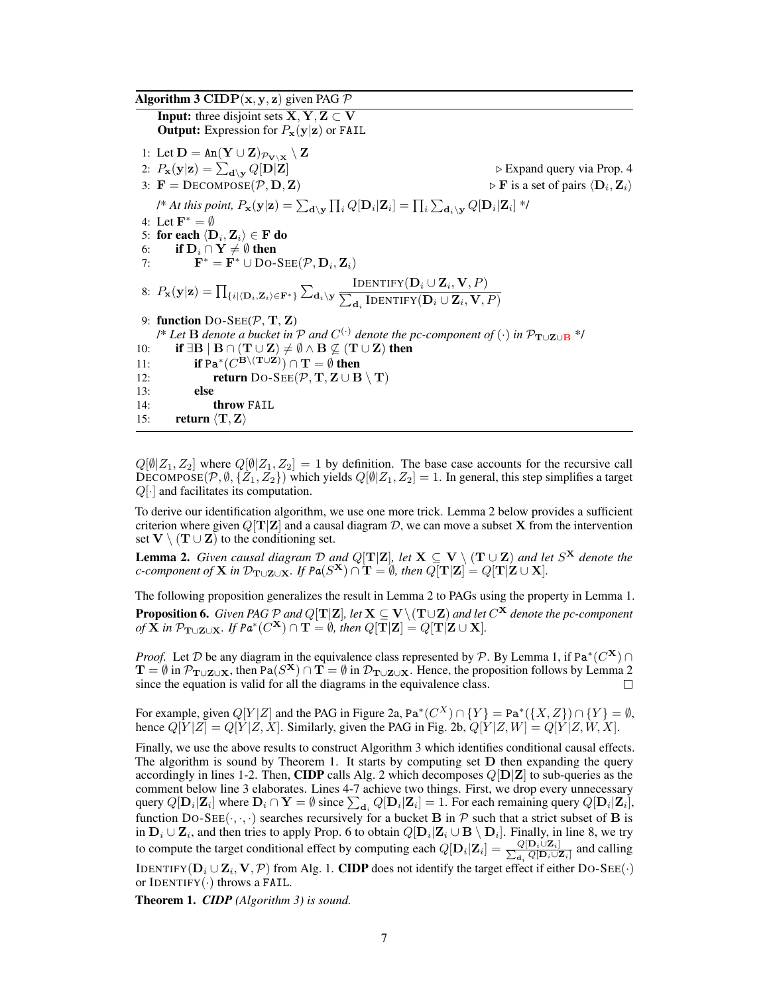**Algorithm 3 CIDP** $(x, y, z)$  given PAG P **Input:** three disjoint sets  $X, Y, Z \subset V$ **Output:** Expression for  $P_x(y|z)$  or FAIL 1: Let  $\mathbf{D} = \text{An}(\mathbf{Y} \cup \mathbf{Z})_{\mathcal{P}_{\mathbf{V} \setminus \mathbf{X}}} \setminus \mathbf{Z}$ 2:  $P_{\mathbf{x}}(\mathbf{y}|\mathbf{z}) = \sum_{\mathbf{d}\setminus\mathbf{y}} Q[\mathbf{D}|\mathbf{Z}]$  $\triangleright$  Expand query via Prop. 4 3:  $\mathbf{F} = \text{DECOMPOSE}(\mathcal{P}, \mathbf{D}, \mathbf{Z})$  $\triangleright$  **F** is a set of pairs  $\langle \mathbf{D}_i, \mathbf{Z}_i \rangle$ /\* At this point,  $P_{\bf x}({\bf y}|{\bf z})=\sum_{{\bf d}\setminus {\bf y}}\prod_i Q[{\bf D}_i|{\bf Z}_i]=\prod_i\sum_{{\bf d}_i\setminus {\bf y}} Q[{\bf D}_i|{\bf Z}_i]$  \*/ 4: Let  $\mathbf{F}^* = \emptyset$ 5: for each  $\langle \mathbf D_i, \mathbf Z_i \rangle \in \mathbf F$  do 6: **if**  $D_i \cap Y \neq \emptyset$  then<br>7:  $F^* = F^* \cup Do-$ 7:  $\mathbf{F}^* = \dot{\mathbf{F}}^* \cup \text{Do-SEE}(\mathcal{P}, \mathbf{D}_i, \mathbf{Z}_i)$ 8:  $P_{\mathbf{x}}(\mathbf{y}|\mathbf{z})=\prod_{\{i\mid\langle\mathbf{D}_i,\mathbf{Z}_i\rangle\in\mathbf{F}^{\ast}\}}\sum_{\mathbf{d}_i\setminus\mathbf{y}}$ Identify $({\bf D}_i \cup {\bf Z}_i, {\bf V}, P)$  $\sum_{\mathbf{d}_i} \text{IDENTIFY}(\mathbf{D}_i \cup \mathbf{Z}_i, \mathbf{V}, P)$ 9: function  $Do-SEE(\mathcal{P}, T, Z)$ *(\* Let* **B** denote a bucket in P and  $C^{(·)}$  denote the pc-component of  $(·)$  in P<sub>T∪Z∪B</sub> \*/ 10: **if**  $\exists \mathbf{B} \mid \mathbf{B} \cap (\mathbf{T} \cup \mathbf{Z}) \neq \emptyset \wedge \mathbf{B} \nsubseteq (\mathbf{T} \cup \mathbf{Z})$  then 11: **if** Pa<sup>\*</sup>( $C^{\mathbf{B} \setminus (\mathbf{T} \cup \mathbf{Z})}$ )  $\cap$  **T** =  $\emptyset$  then 12: **return** DO-SEE( $P$ , **T**, **Z**  $\cup$  **B**  $\setminus$  **T**) 13: else 14: throw FAIL 15: return  $\langle \mathbf{T}, \mathbf{Z} \rangle$ 

 $Q[\emptyset|Z_1, Z_2]$  where  $Q[\emptyset|Z_1, Z_2] = 1$  by definition. The base case accounts for the recursive call DECOMPOSE( $\mathcal{P}, \emptyset, \{Z_1, Z_2\}$ ) which yields  $Q[\emptyset | Z_1, Z_2] = 1$ . In general, this step simplifies a target  $Q[\cdot]$  and facilitates its computation.

To derive our identification algorithm, we use one more trick. Lemma 2 below provides a sufficient criterion where given  $Q[T|\mathbf{Z}]$  and a causal diagram D, we can move a subset X from the intervention set  $V \setminus (T \cup Z)$  to the conditioning set.

**Lemma 2.** *Given causal diagram*  $\mathcal D$  *and*  $Q[T|\mathbf{Z}]$ *, let*  $\mathbf{X} \subseteq \mathbf{V} \setminus (\mathbf{T} \cup \mathbf{Z})$  *and let*  $S^{\mathbf{X}}$  *denote the c*-component of **X** in  $\mathcal{D}_{\mathbf{T}\cup\mathbf{Z}\cup\mathbf{X}}$ *.* If  $Pa(S^{\mathbf{X}}) \cap \mathbf{T} = \emptyset$ *, then*  $Q[\mathbf{T}|\mathbf{Z}] = Q[\mathbf{T}|\mathbf{Z}\cup\mathbf{X}]$ *.* 

The following proposition generalizes the result in Lemma 2 to PAGs using the property in Lemma 1. **Proposition 6.** *Given PAG*  ${\cal P}$  *and Q*[T|**Z**], let  $\mathbf{X}\subseteq \mathbf{V}\backslash (\mathbf{T}\cup \mathbf{Z})$  and let  $C^{\mathbf{X}}$  denote the pc-component  $\rho f \tilde{\mathbf{X}}$  *in*  $\mathcal{P}_{\mathbf{T}\cup\mathbf{Z}\cup\mathbf{X}}$ *. If*  $P\bm{a}^*(C^\mathbf{X})\cap\mathbf{T}=\emptyset$ *, then*  $Q[\mathbf{T}|\mathbf{Z}]\stackrel{.}{=}Q[\mathbf{T}|\mathbf{Z}\cup\mathbf{X}]$ *.* 

*Proof.* Let D be any diagram in the equivalence class represented by P. By Lemma 1, if Pa<sup>\*</sup>( $C^{\mathbf{X}}$ )  $\cap$  $T = \emptyset$  in  $\mathcal{P}_{T\cup Z\cup X}$ , then Pa $(S^X) \cap T = \emptyset$  in  $\mathcal{D}_{T\cup Z\cup X}$ . Hence, the proposition follows by Lemma 2 since the equation is valid for all the diagrams in the equivalence class.  $\Box$ 

For example, given  $Q[Y|Z]$  and the PAG in Figure 2a, Pa<sup>\*</sup> $(C^X) \cap {Y} = \text{Pa}^*(\{X, Z\}) \cap {Y} = \emptyset$ , hence  $Q[Y|Z] = Q[Y|Z, X]$ . Similarly, given the PAG in Fig. 2b,  $Q[Y|Z, W] = Q[Y|Z, W, X]$ .

Finally, we use the above results to construct Algorithm 3 which identifies conditional causal effects. The algorithm is sound by Theorem 1. It starts by computing set  $D$  then expanding the query accordingly in lines 1-2. Then, CIDP calls Alg. 2 which decomposes  $Q[D|Z]$  to sub-queries as the comment below line 3 elaborates. Lines 4-7 achieve two things. First, we drop every unnecessary query  $Q[\mathbf{D}_i|\mathbf{Z}_i]$  where  $\mathbf{D}_i \cap \mathbf{Y} = \emptyset$  since  $\sum_{\mathbf{d}_i} Q[\mathbf{D}_i|\mathbf{Z}_i] = 1$ . For each remaining query  $Q[\mathbf{D}_i|\mathbf{Z}_i]$ , function DO-SEE( $\cdot, \cdot, \cdot$ ) searches recursively for a bucket **B** in P such that a strict subset of **B** is in  $D_i\cup \mathbf{Z}_i$ , and then tries to apply Prop. 6 to obtain  $Q[\mathbf{D}_i|\mathbf{Z}_i\cup \mathbf{B}\setminus \mathbf{D}_i].$  Finally, in line 8, we try to compute the target conditional effect by computing each  $Q[\mathbf{D}_i|\mathbf{Z}_i] = \frac{Q[\mathbf{D}_i \cup \mathbf{Z}_i]}{\sum_{\mathbf{d}} Q[\mathbf{D}_i \cup \mathbf{Z}_i]}$  $\frac{Q[\mathbf{D}_i \cup \mathbf{Z}_i]}{d_i Q[\mathbf{D}_i \cup \mathbf{Z}_i]}$  and calling IDENTIFY( $\mathbf{D}_i \cup \mathbf{Z}_i, \mathbf{V}, \mathcal{P}$ ) from Alg. 1. CIDP does not identify the target effect if either D0-SEE( $\cdot$ ) or IDENTIFY $(\cdot)$  throws a FAIL.

Theorem 1. *CIDP (Algorithm 3) is sound.*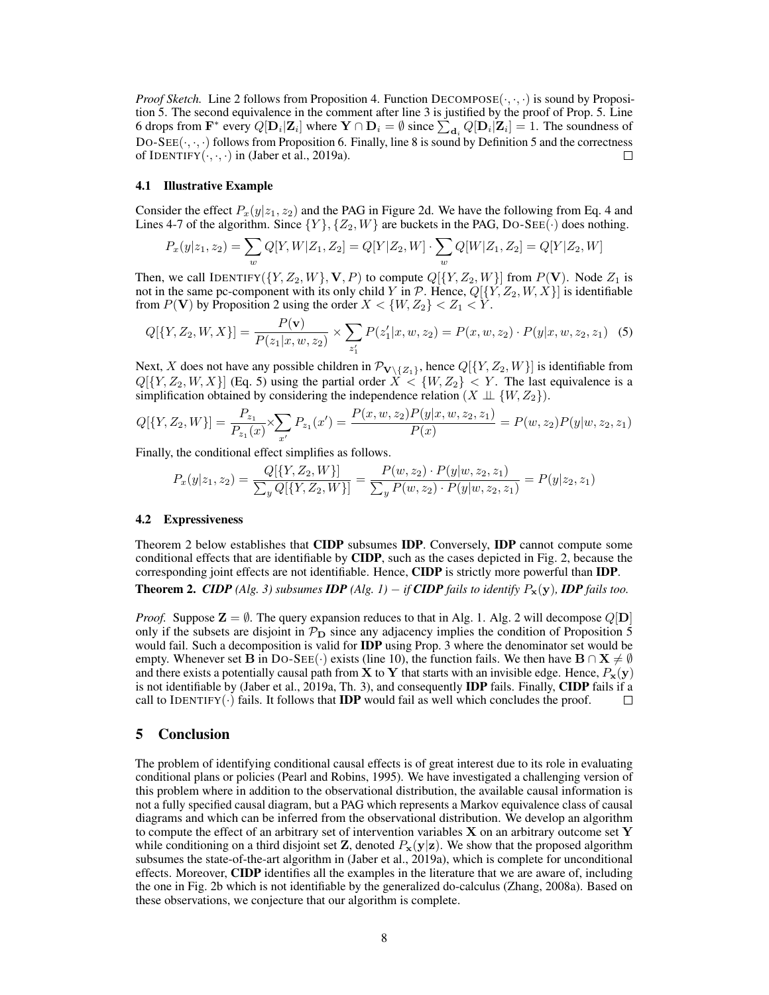*Proof Sketch.* Line 2 follows from Proposition 4. Function  $DECOMPOSE(\cdot, \cdot, \cdot)$  is sound by Proposition 5. The second equivalence in the comment after line 3 is justified by the proof of Prop. 5. Line 6 drops from  $\mathbf{F}^*$  every  $Q[\mathbf{D}_i|\mathbf{Z}_i]$  where  $\mathbf{Y} \cap \mathbf{D}_i = \emptyset$  since  $\sum_{\mathbf{d}_i} Q[\mathbf{D}_i|\mathbf{Z}_i] = 1$ . The soundness of DO-SEE( $\cdot, \cdot, \cdot$ ) follows from Proposition 6. Finally, line 8 is sound by Definition 5 and the correctness of IDENTIFY $(\cdot, \cdot, \cdot)$  in (Jaber et al., 2019a).  $\Box$ 

#### 4.1 Illustrative Example

Consider the effect  $P_x(y|z_1, z_2)$  and the PAG in Figure 2d. We have the following from Eq. 4 and Lines 4-7 of the algorithm. Since  $\{Y\}, \{Z_2, W\}$  are buckets in the PAG, DO-SEE( $\cdot$ ) does nothing.

$$
P_x(y|z_1, z_2) = \sum_{w} Q[Y, W|Z_1, Z_2] = Q[Y|Z_2, W] \cdot \sum_{w} Q[W|Z_1, Z_2] = Q[Y|Z_2, W]
$$

Then, we call IDENTIFY $(\{Y, Z_2, W\}, \mathbf{V}, P)$  to compute  $Q[\{Y, Z_2, W\}]$  from  $P(\mathbf{V})$ . Node  $Z_1$  is not in the same pc-component with its only child Y in P. Hence,  $Q[\{Y, Z_2, W, X\}]$  is identifiable from  $P(V)$  by Proposition 2 using the order  $X < \{W, Z_2\} < Z_1 < Y$ .

$$
Q[{Y, Z_2, W, X}] = \frac{P(\mathbf{v})}{P(z_1|x, w, z_2)} \times \sum_{z_1'} P(z_1'|x, w, z_2) = P(x, w, z_2) \cdot P(y|x, w, z_2, z_1)
$$
 (5)

Next, X does not have any possible children in  $\mathcal{P}_{V\setminus\{Z_1\}}$ , hence  $Q[\{Y, Z_2, W\}]$  is identifiable from  $Q[{Y, Z_2, W, X}]$  (Eq. 5) using the partial order  $X < {W, Z_2} < Y$ . The last equivalence is a simplification obtained by considering the independence relation  $(X \perp \!\!\!\perp \{W, Z_2\})$ .

$$
Q[{Y,Z_2,W}] = \frac{P_{z_1}}{P_{z_1}(x)} \times \sum_{x'} P_{z_1}(x') = \frac{P(x,w,z_2)P(y|x,w,z_2,z_1)}{P(x)} = P(w,z_2)P(y|w,z_2,z_1)
$$

Finally, the conditional effect simplifies as follows.

$$
P_x(y|z_1, z_2) = \frac{Q[\{Y, Z_2, W\}]}{\sum_y Q[\{Y, Z_2, W\}]} = \frac{P(w, z_2) \cdot P(y|w, z_2, z_1)}{\sum_y P(w, z_2) \cdot P(y|w, z_2, z_1)} = P(y|z_2, z_1)
$$

#### 4.2 Expressiveness

Theorem 2 below establishes that CIDP subsumes IDP. Conversely, IDP cannot compute some conditional effects that are identifiable by CIDP, such as the cases depicted in Fig. 2, because the corresponding joint effects are not identifiable. Hence, CIDP is strictly more powerful than IDP. **Theorem 2.** *CIDP* (Alg. 3) subsumes *IDP* (Alg. 1) − *if* **CIDP** fails to identify  $P_x(y)$ *, IDP fails too.* 

*Proof.* Suppose  $\mathbf{Z} = \emptyset$ . The query expansion reduces to that in Alg. 1. Alg. 2 will decompose  $Q[\mathbf{D}]$ only if the subsets are disjoint in  $\mathcal{P}_{\mathbf{D}}$  since any adjacency implies the condition of Proposition 5 would fail. Such a decomposition is valid for **IDP** using Prop. 3 where the denominator set would be empty. Whenever set B in DO-SEE(·) exists (line 10), the function fails. We then have  $B \cap X \neq \emptyset$ and there exists a potentially causal path from **X** to **Y** that starts with an invisible edge. Hence,  $P_x(y)$ is not identifiable by (Jaber et al., 2019a, Th. 3), and consequently IDP fails. Finally, CIDP fails if a call to IDENTIFY( $\cdot$ ) fails. It follows that **IDP** would fail as well which concludes the proof.  $\Box$ 

#### 5 Conclusion

The problem of identifying conditional causal effects is of great interest due to its role in evaluating conditional plans or policies (Pearl and Robins, 1995). We have investigated a challenging version of this problem where in addition to the observational distribution, the available causal information is not a fully specified causal diagram, but a PAG which represents a Markov equivalence class of causal diagrams and which can be inferred from the observational distribution. We develop an algorithm to compute the effect of an arbitrary set of intervention variables  $X$  on an arbitrary outcome set Y while conditioning on a third disjoint set **Z**, denoted  $P_x(y|z)$ . We show that the proposed algorithm subsumes the state-of-the-art algorithm in (Jaber et al., 2019a), which is complete for unconditional effects. Moreover, **CIDP** identifies all the examples in the literature that we are aware of, including the one in Fig. 2b which is not identifiable by the generalized do-calculus (Zhang, 2008a). Based on these observations, we conjecture that our algorithm is complete.